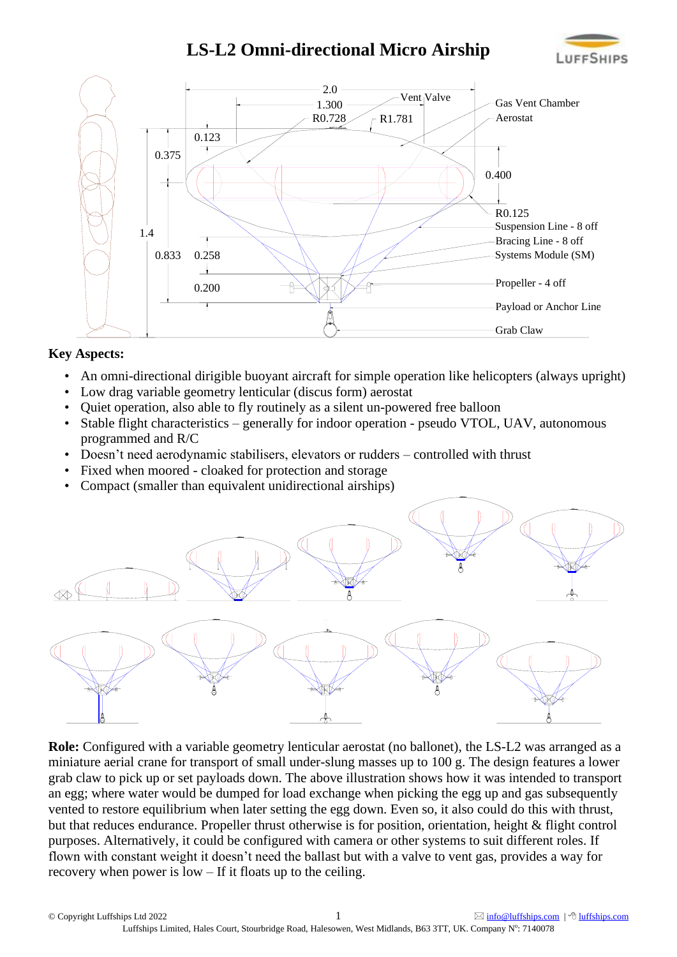**LS-L2 Omni-directional Micro Airship**





### **Key Aspects:**

- An omni-directional dirigible buoyant aircraft for simple operation like helicopters (always upright)
- Low drag variable geometry lenticular (discus form) aerostat
- Quiet operation, also able to fly routinely as a silent un-powered free balloon
- Stable flight characteristics generally for indoor operation pseudo VTOL, UAV, autonomous programmed and R/C
- Doesn't need aerodynamic stabilisers, elevators or rudders controlled with thrust
- Fixed when moored cloaked for protection and storage
- Compact (smaller than equivalent unidirectional airships)



**Role:** Configured with a variable geometry lenticular aerostat (no ballonet), the LS-L2 was arranged as a miniature aerial crane for transport of small under-slung masses up to 100 g. The design features a lower grab claw to pick up or set payloads down. The above illustration shows how it was intended to transport an egg; where water would be dumped for load exchange when picking the egg up and gas subsequently vented to restore equilibrium when later setting the egg down. Even so, it also could do this with thrust, but that reduces endurance. Propeller thrust otherwise is for position, orientation, height & flight control purposes. Alternatively, it could be configured with camera or other systems to suit different roles. If flown with constant weight it doesn't need the ballast but with a valve to vent gas, provides a way for recovery when power is low – If it floats up to the ceiling.